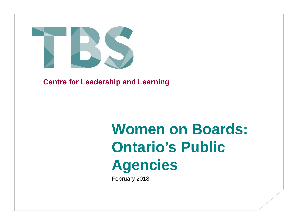

**Centre for Leadership and Learning**

# **Women on Boards: Ontario's Public Agencies**

February 2018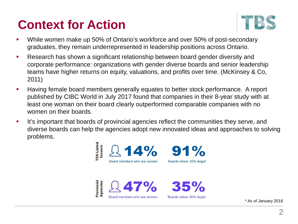## **Context for Action**



- While women make up 50% of Ontario's workforce and over 50% of post-secondary graduates, they remain underrepresented in leadership positions across Ontario.
- Research has shown a significant relationship between board gender diversity and corporate performance: organizations with gender diverse boards and senior leadership teams have higher returns on equity, valuations, and profits over time. (McKinsey & Co, 2011)
- Having female board members generally equates to better stock performance. A report published by CIBC World in July 2017 found that companies in their 8-year study with at least one woman on their board clearly outperformed comparable companies with no women on their boards.
- It's important that boards of provincial agencies reflect the communities they serve, and diverse boards can help the agencies adopt new innovated ideas and approaches to solving problems.



\* As of January 2018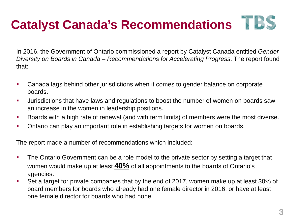## **Catalyst Canada's Recommendations**

In 2016, the Government of Ontario commissioned a report by Catalyst Canada entitled *Gender Diversity on Boards in Canada – Recommendations for Accelerating Progress*. The report found that:

- Canada lags behind other jurisdictions when it comes to gender balance on corporate boards.
- Jurisdictions that have laws and regulations to boost the number of women on boards saw an increase in the women in leadership positions.
- Boards with a high rate of renewal (and with term limits) of members were the most diverse.
- Ontario can play an important role in establishing targets for women on boards.

The report made a number of recommendations which included:

- The Ontario Government can be a role model to the private sector by setting a target that women would make up at least **40%** of all appointments to the boards of Ontario's agencies.
- Set a target for private companies that by the end of 2017, women make up at least 30% of board members for boards who already had one female director in 2016, or have at least one female director for boards who had none.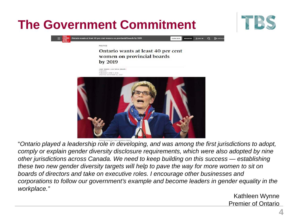### **The Government Commitment**



| $\equiv$ $\frac{THE}{CLOBE}$ Ontario wants at least 40 per cent women on provincial boards |
|--------------------------------------------------------------------------------------------|
|                                                                                            |

SURSCRIBE **PECISTER**  $3.006 \text{ m}$  Q  $\text{D}^{AA}$ 

**BOLITICS** 

#### Ontario wants at least 40 per cent women on provincial boards by 2019

**JANE TARER 3 AND TAVIA CRANTS** PUBLISHED JUNE 7, 2016 USA ETCH MANIFERS 15 581



"*Ontario played a leadership role in developing, and was among the first jurisdictions to adopt, comply or explain gender diversity disclosure requirements, which were also adopted by nine other jurisdictions across Canada. We need to keep building on this success — establishing these two new gender diversity targets will help to pave the way for more women to sit on boards of directors and take on executive roles. I encourage other businesses and corporations to follow our government's example and become leaders in gender equality in the workplace."*

> Kathleen Wynne Premier of Ontario